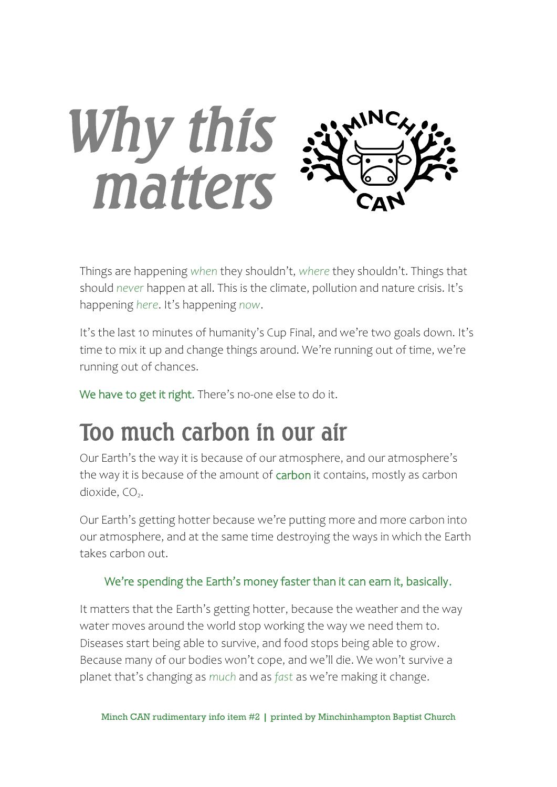

Things are happening *when* they shouldn't, *where* they shouldn't. Things that should *never* happen at all. This is the climate, pollution and nature crisis. It's happening *here*. It's happening *now*.

It's the last 10 minutes of humanity's Cup Final, and we're two goals down. It's time to mix it up and change things around. We're running out of time, we're running out of chances.

We have to get it right. There's no-one else to do it.

#### Too much carbon in our air

Our Earth's the way it is because of our atmosphere, and our atmosphere's the way it is because of the amount of carbon it contains, mostly as carbon dioxide, CO<sub>2</sub>.

Our Earth's getting hotter because we're putting more and more carbon into our atmosphere, and at the same time destroying the ways in which the Earth takes carbon out.

#### We're spending the Earth's money faster than it can earn it, basically.

It matters that the Earth's getting hotter, because the weather and the way water moves around the world stop working the way we need them to. Diseases start being able to survive, and food stops being able to grow. Because many of our bodies won't cope, and we'll die. We won't survive a planet that's changing as *much* and as *fast* as we're making it change.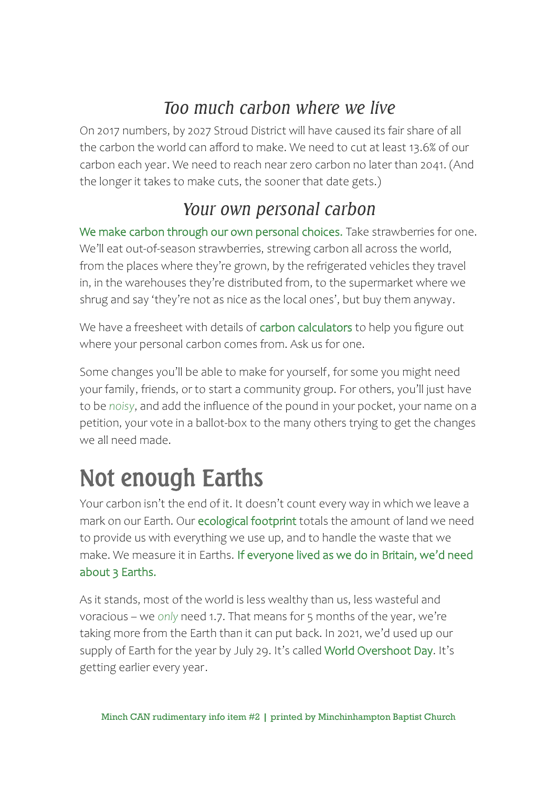#### *Too much carbon where we live*

On 2017 numbers, by 2027 Stroud District will have caused its fair share of all the carbon the world can afford to make. We need to cut at least 13.6% of our carbon each year. We need to reach near zero carbon no later than 2041. (And the longer it takes to make cuts, the sooner that date gets.)

#### *Your own personal carbon*

We make carbon through our own personal choices. Take strawberries for one. We'll eat out-of-season strawberries, strewing carbon all across the world, from the places where they're grown, by the refrigerated vehicles they travel in, in the warehouses they're distributed from, to the supermarket where we shrug and say 'they're not as nice as the local ones', but buy them anyway.

We have a freesheet with details of carbon calculators to help you figure out where your personal carbon comes from. Ask us for one.

Some changes you'll be able to make for yourself, for some you might need your family, friends, or to start a community group. For others, you'll just have to be *noisy*, and add the influence of the pound in your pocket, your name on a petition, your vote in a ballot-box to the many others trying to get the changes we all need made.

### Not enough Earths

Your carbon isn't the end of it. It doesn't count every way in which we leave a mark on our Earth. Our ecological footprint totals the amount of land we need to provide us with everything we use up, and to handle the waste that we make. We measure it in Earths. If everyone lived as we do in Britain, we'd need about 3 Earths.

As it stands, most of the world is less wealthy than us, less wasteful and voracious – we *only* need 1.7. That means for 5 months of the year, we're taking more from the Earth than it can put back. In 2021, we'd used up our supply of Earth for the year by July 29. It's called World Overshoot Day. It's getting earlier every year.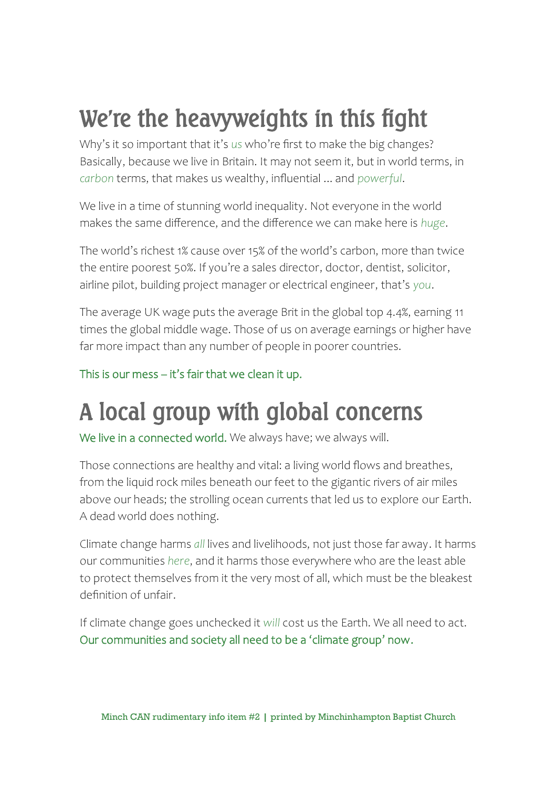### We're the heavyweights in this fight

Why's it so important that it's *us* who're first to make the big changes? Basically, because we live in Britain. It may not seem it, but in world terms, in *carbon* terms, that makes us wealthy, influential ... and *powerful*.

We live in a time of stunning world inequality. Not everyone in the world makes the same difference, and the difference we can make here is *huge*.

The world's richest 1% cause over 15% of the world's carbon, more than twice the entire poorest 50%. If you're a sales director, doctor, dentist, solicitor, airline pilot, building project manager or electrical engineer, that's *you*.

The average UK wage puts the average Brit in the global top 4.4%, earning 11 times the global middle wage. Those of us on average earnings or higher have far more impact than any number of people in poorer countries.

This is our mess – it's fair that we clean it up.

## A local group with global concerns

We live in a connected world. We always have; we always will.

Those connections are healthy and vital: a living world flows and breathes, from the liquid rock miles beneath our feet to the gigantic rivers of air miles above our heads; the strolling ocean currents that led us to explore our Earth. A dead world does nothing.

Climate change harms *all* lives and livelihoods, not just those far away. It harms our communities *here*, and it harms those everywhere who are the least able to protect themselves from it the very most of all, which must be the bleakest definition of unfair.

If climate change goes unchecked it *will* cost us the Earth. We all need to act. Our communities and society all need to be a 'climate group' now.